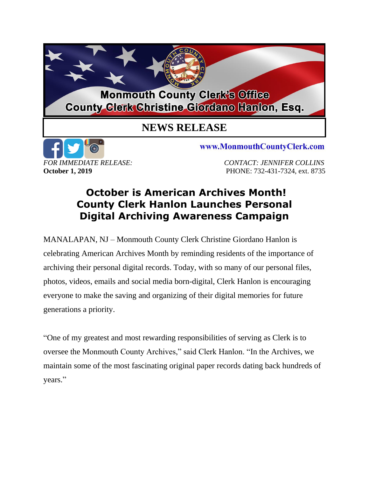

## **NEWS RELEASE**



www.MonmouthCountyClerk.com

*FOR IMMEDIATE RELEASE: CONTACT: JENNIFER COLLINS* **October 1, 2019 PHONE: 732-431-7324, ext. 8735** 

## **October is American Archives Month! County Clerk Hanlon Launches Personal Digital Archiving Awareness Campaign**

MANALAPAN, NJ – Monmouth County Clerk Christine Giordano Hanlon is celebrating American Archives Month by reminding residents of the importance of archiving their personal digital records. Today, with so many of our personal files, photos, videos, emails and social media born-digital, Clerk Hanlon is encouraging everyone to make the saving and organizing of their digital memories for future generations a priority.

"One of my greatest and most rewarding responsibilities of serving as Clerk is to oversee the Monmouth County Archives," said Clerk Hanlon. "In the Archives, we maintain some of the most fascinating original paper records dating back hundreds of years."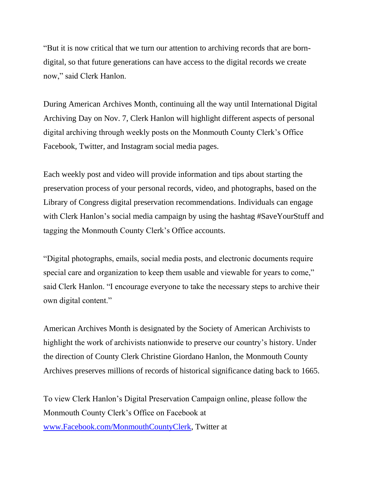"But it is now critical that we turn our attention to archiving records that are borndigital, so that future generations can have access to the digital records we create now," said Clerk Hanlon.

During American Archives Month, continuing all the way until International Digital Archiving Day on Nov. 7, Clerk Hanlon will highlight different aspects of personal digital archiving through weekly posts on the Monmouth County Clerk's Office Facebook, Twitter, and Instagram social media pages.

Each weekly post and video will provide information and tips about starting the preservation process of your personal records, video, and photographs, based on the Library of Congress digital preservation recommendations. Individuals can engage with Clerk Hanlon's social media campaign by using the hashtag #SaveYourStuff and tagging the Monmouth County Clerk's Office accounts.

"Digital photographs, emails, social media posts, and electronic documents require special care and organization to keep them usable and viewable for years to come," said Clerk Hanlon. "I encourage everyone to take the necessary steps to archive their own digital content."

American Archives Month is designated by the Society of American Archivists to highlight the work of archivists nationwide to preserve our country's history. Under the direction of County Clerk Christine Giordano Hanlon, the Monmouth County Archives preserves millions of records of historical significance dating back to 1665.

To view Clerk Hanlon's Digital Preservation Campaign online, please follow the Monmouth County Clerk's Office on Facebook at [www.Facebook.com/MonmouthCountyClerk,](http://www.facebook.com/MonmouthCountyClerk) Twitter at